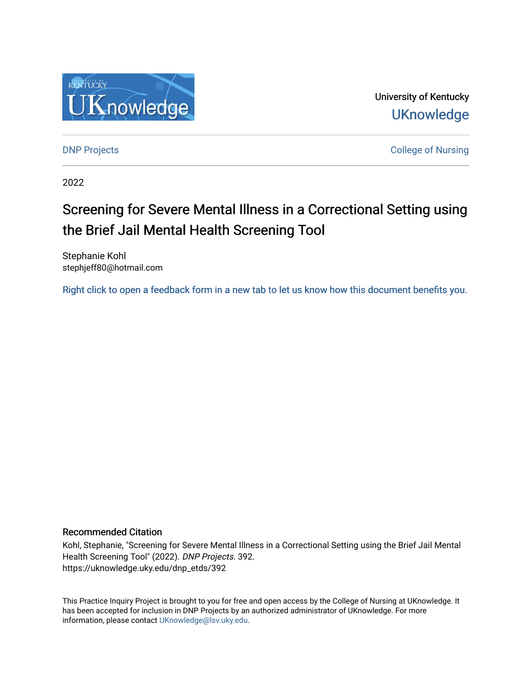

University of Kentucky **UKnowledge** 

[DNP Projects](https://uknowledge.uky.edu/dnp_etds) **College of Nursing** 

2022

# Screening for Severe Mental Illness in a Correctional Setting using the Brief Jail Mental Health Screening Tool

Stephanie Kohl stephjeff80@hotmail.com

[Right click to open a feedback form in a new tab to let us know how this document benefits you.](https://uky.az1.qualtrics.com/jfe/form/SV_9mq8fx2GnONRfz7)

#### Recommended Citation

Kohl, Stephanie, "Screening for Severe Mental Illness in a Correctional Setting using the Brief Jail Mental Health Screening Tool" (2022). DNP Projects. 392. https://uknowledge.uky.edu/dnp\_etds/392

This Practice Inquiry Project is brought to you for free and open access by the College of Nursing at UKnowledge. It has been accepted for inclusion in DNP Projects by an authorized administrator of UKnowledge. For more information, please contact [UKnowledge@lsv.uky.edu](mailto:UKnowledge@lsv.uky.edu).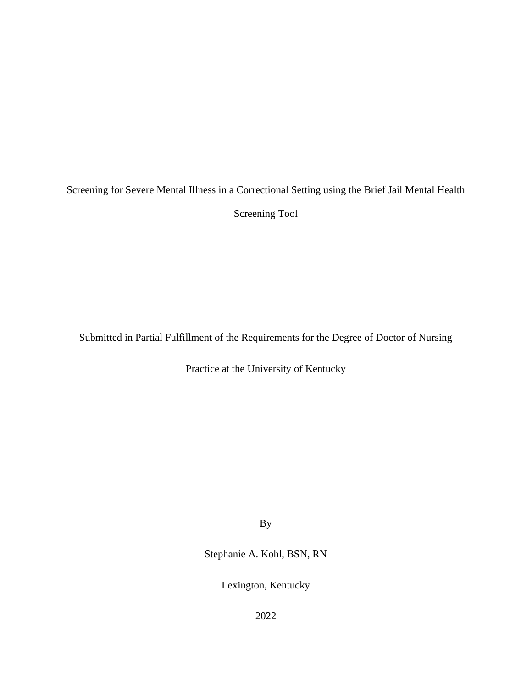Screening for Severe Mental Illness in a Correctional Setting using the Brief Jail Mental Health

Screening Tool

Submitted in Partial Fulfillment of the Requirements for the Degree of Doctor of Nursing

Practice at the University of Kentucky

By

Stephanie A. Kohl, BSN, RN

Lexington, Kentucky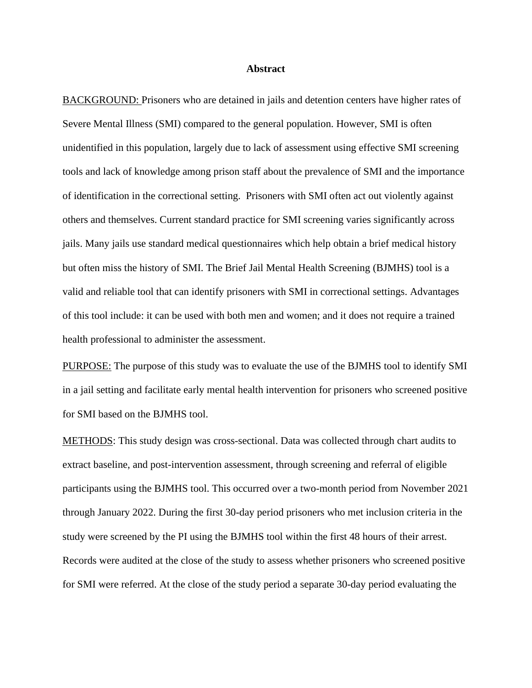#### **Abstract**

BACKGROUND: Prisoners who are detained in jails and detention centers have higher rates of Severe Mental Illness (SMI) compared to the general population. However, SMI is often unidentified in this population, largely due to lack of assessment using effective SMI screening tools and lack of knowledge among prison staff about the prevalence of SMI and the importance of identification in the correctional setting. Prisoners with SMI often act out violently against others and themselves. Current standard practice for SMI screening varies significantly across jails. Many jails use standard medical questionnaires which help obtain a brief medical history but often miss the history of SMI. The Brief Jail Mental Health Screening (BJMHS) tool is a valid and reliable tool that can identify prisoners with SMI in correctional settings. Advantages of this tool include: it can be used with both men and women; and it does not require a trained health professional to administer the assessment.

PURPOSE: The purpose of this study was to evaluate the use of the BJMHS tool to identify SMI in a jail setting and facilitate early mental health intervention for prisoners who screened positive for SMI based on the BJMHS tool.

METHODS: This study design was cross-sectional. Data was collected through chart audits to extract baseline, and post-intervention assessment, through screening and referral of eligible participants using the BJMHS tool. This occurred over a two-month period from November 2021 through January 2022. During the first 30-day period prisoners who met inclusion criteria in the study were screened by the PI using the BJMHS tool within the first 48 hours of their arrest. Records were audited at the close of the study to assess whether prisoners who screened positive for SMI were referred. At the close of the study period a separate 30-day period evaluating the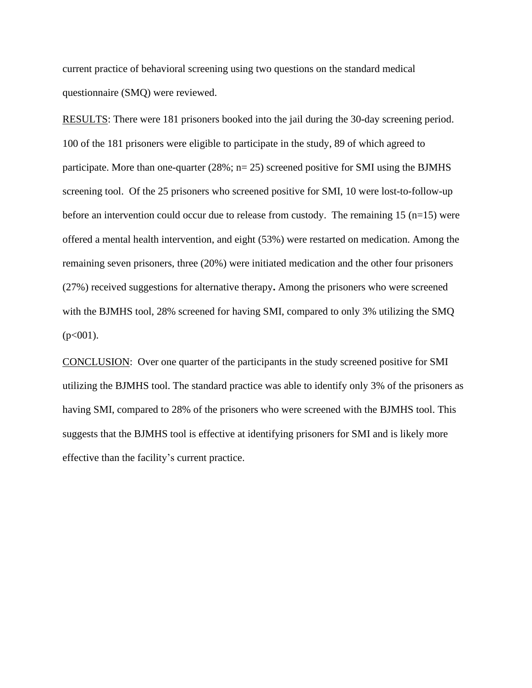current practice of behavioral screening using two questions on the standard medical questionnaire (SMQ) were reviewed.

RESULTS: There were 181 prisoners booked into the jail during the 30-day screening period. 100 of the 181 prisoners were eligible to participate in the study, 89 of which agreed to participate. More than one-quarter (28%; n= 25) screened positive for SMI using the BJMHS screening tool. Of the 25 prisoners who screened positive for SMI, 10 were lost-to-follow-up before an intervention could occur due to release from custody. The remaining  $15$  (n=15) were offered a mental health intervention, and eight (53%) were restarted on medication. Among the remaining seven prisoners, three (20%) were initiated medication and the other four prisoners (27%) received suggestions for alternative therapy**.** Among the prisoners who were screened with the BJMHS tool, 28% screened for having SMI, compared to only 3% utilizing the SMQ  $(p<001)$ .

CONCLUSION: Over one quarter of the participants in the study screened positive for SMI utilizing the BJMHS tool. The standard practice was able to identify only 3% of the prisoners as having SMI, compared to 28% of the prisoners who were screened with the BJMHS tool. This suggests that the BJMHS tool is effective at identifying prisoners for SMI and is likely more effective than the facility's current practice.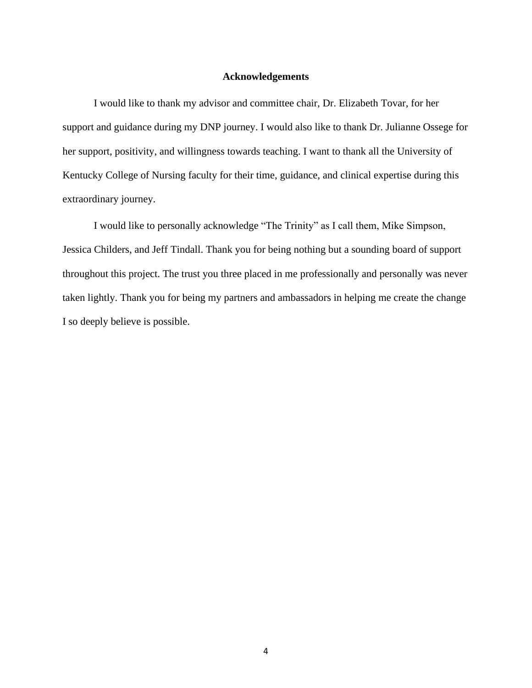## **Acknowledgements**

I would like to thank my advisor and committee chair, Dr. Elizabeth Tovar, for her support and guidance during my DNP journey. I would also like to thank Dr. Julianne Ossege for her support, positivity, and willingness towards teaching. I want to thank all the University of Kentucky College of Nursing faculty for their time, guidance, and clinical expertise during this extraordinary journey.

I would like to personally acknowledge "The Trinity" as I call them, Mike Simpson, Jessica Childers, and Jeff Tindall. Thank you for being nothing but a sounding board of support throughout this project. The trust you three placed in me professionally and personally was never taken lightly. Thank you for being my partners and ambassadors in helping me create the change I so deeply believe is possible.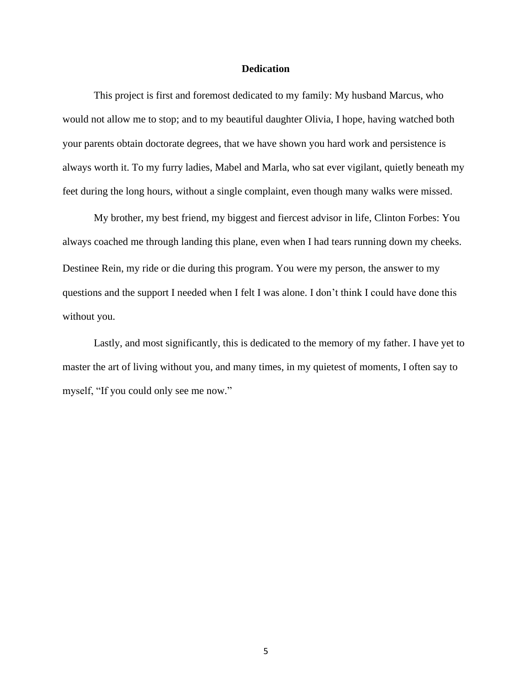### **Dedication**

This project is first and foremost dedicated to my family: My husband Marcus, who would not allow me to stop; and to my beautiful daughter Olivia, I hope, having watched both your parents obtain doctorate degrees, that we have shown you hard work and persistence is always worth it. To my furry ladies, Mabel and Marla, who sat ever vigilant, quietly beneath my feet during the long hours, without a single complaint, even though many walks were missed.

My brother, my best friend, my biggest and fiercest advisor in life, Clinton Forbes: You always coached me through landing this plane, even when I had tears running down my cheeks. Destinee Rein, my ride or die during this program. You were my person, the answer to my questions and the support I needed when I felt I was alone. I don't think I could have done this without you.

Lastly, and most significantly, this is dedicated to the memory of my father. I have yet to master the art of living without you, and many times, in my quietest of moments, I often say to myself, "If you could only see me now."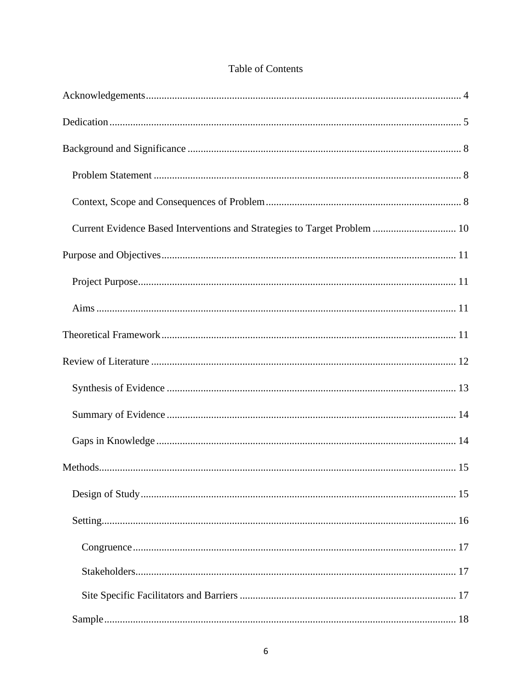| <b>Table of Contents</b> |
|--------------------------|
|--------------------------|

| Current Evidence Based Interventions and Strategies to Target Problem  10 |
|---------------------------------------------------------------------------|
|                                                                           |
|                                                                           |
|                                                                           |
|                                                                           |
|                                                                           |
|                                                                           |
|                                                                           |
|                                                                           |
|                                                                           |
|                                                                           |
|                                                                           |
|                                                                           |
|                                                                           |
|                                                                           |
|                                                                           |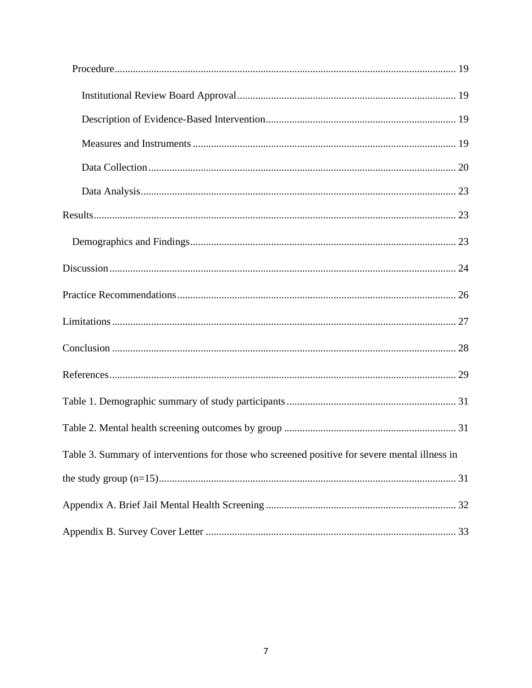| Table 3. Summary of interventions for those who screened positive for severe mental illness in |  |
|------------------------------------------------------------------------------------------------|--|
|                                                                                                |  |
|                                                                                                |  |
|                                                                                                |  |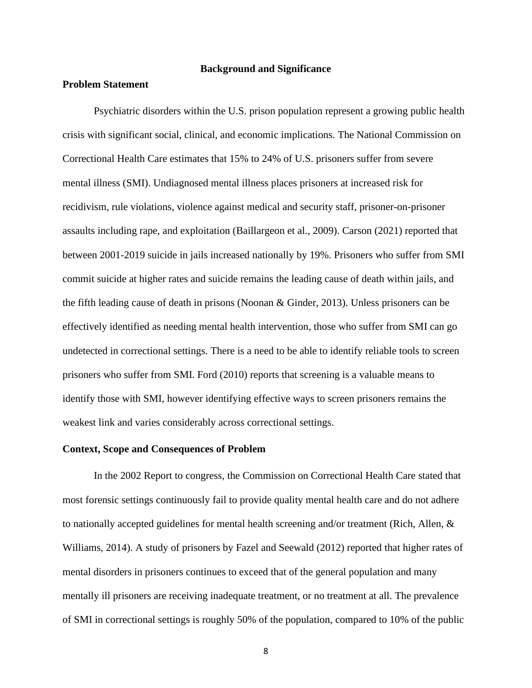#### **Background and Significance**

#### **Problem Statement**

Psychiatric disorders within the U.S. prison population represent a growing public health crisis with significant social, clinical, and economic implications. The National Commission on Correctional Health Care estimates that 15% to 24% of U.S. prisoners suffer from severe mental illness (SMI). Undiagnosed mental illness places prisoners at increased risk for recidivism, rule violations, violence against medical and security staff, prisoner-on-prisoner assaults including rape, and exploitation (Baillargeon et al., 2009). Carson (2021) reported that between 2001-2019 suicide in jails increased nationally by 19%. Prisoners who suffer from SMI commit suicide at higher rates and suicide remains the leading cause of death within jails, and the fifth leading cause of death in prisons (Noonan & Ginder, 2013). Unless prisoners can be effectively identified as needing mental health intervention, those who suffer from SMI can go undetected in correctional settings. There is a need to be able to identify reliable tools to screen prisoners who suffer from SMI. Ford (2010) reports that screening is a valuable means to identify those with SMI, however identifying effective ways to screen prisoners remains the weakest link and varies considerably across correctional settings.

#### **Context, Scope and Consequences of Problem**

In the 2002 Report to congress, the Commission on Correctional Health Care stated that most forensic settings continuously fail to provide quality mental health care and do not adhere to nationally accepted guidelines for mental health screening and/or treatment (Rich, Allen,  $\&$ Williams, 2014). A study of prisoners by Fazel and Seewald (2012) reported that higher rates of mental disorders in prisoners continues to exceed that of the general population and many mentally ill prisoners are receiving inadequate treatment, or no treatment at all. The prevalence of SMI in correctional settings is roughly 50% of the population, compared to 10% of the public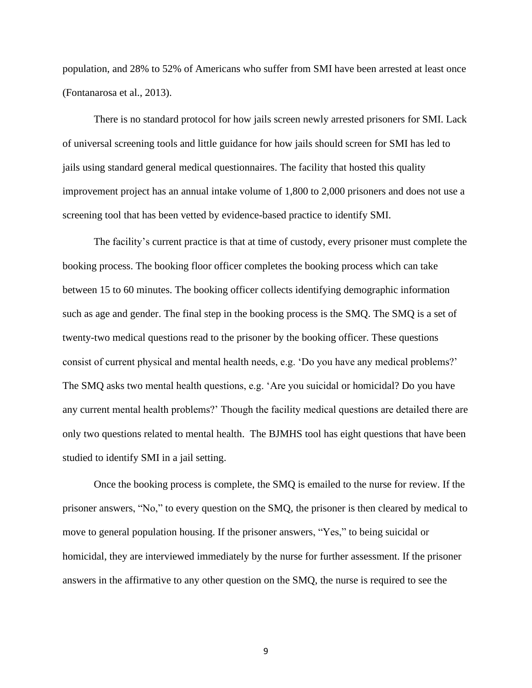population, and 28% to 52% of Americans who suffer from SMI have been arrested at least once (Fontanarosa et al., 2013).

There is no standard protocol for how jails screen newly arrested prisoners for SMI. Lack of universal screening tools and little guidance for how jails should screen for SMI has led to jails using standard general medical questionnaires. The facility that hosted this quality improvement project has an annual intake volume of 1,800 to 2,000 prisoners and does not use a screening tool that has been vetted by evidence-based practice to identify SMI.

The facility's current practice is that at time of custody, every prisoner must complete the booking process. The booking floor officer completes the booking process which can take between 15 to 60 minutes. The booking officer collects identifying demographic information such as age and gender. The final step in the booking process is the SMQ. The SMQ is a set of twenty-two medical questions read to the prisoner by the booking officer. These questions consist of current physical and mental health needs, e.g. 'Do you have any medical problems?' The SMQ asks two mental health questions, e.g. 'Are you suicidal or homicidal? Do you have any current mental health problems?' Though the facility medical questions are detailed there are only two questions related to mental health. The BJMHS tool has eight questions that have been studied to identify SMI in a jail setting.

Once the booking process is complete, the SMQ is emailed to the nurse for review. If the prisoner answers, "No," to every question on the SMQ, the prisoner is then cleared by medical to move to general population housing. If the prisoner answers, "Yes," to being suicidal or homicidal, they are interviewed immediately by the nurse for further assessment. If the prisoner answers in the affirmative to any other question on the SMQ, the nurse is required to see the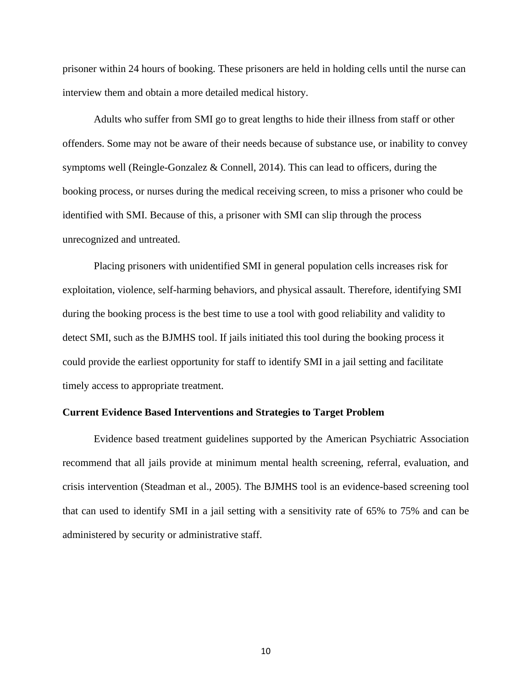prisoner within 24 hours of booking. These prisoners are held in holding cells until the nurse can interview them and obtain a more detailed medical history.

Adults who suffer from SMI go to great lengths to hide their illness from staff or other offenders. Some may not be aware of their needs because of substance use, or inability to convey symptoms well (Reingle-Gonzalez & Connell, 2014). This can lead to officers, during the booking process, or nurses during the medical receiving screen, to miss a prisoner who could be identified with SMI. Because of this, a prisoner with SMI can slip through the process unrecognized and untreated.

Placing prisoners with unidentified SMI in general population cells increases risk for exploitation, violence, self-harming behaviors, and physical assault. Therefore, identifying SMI during the booking process is the best time to use a tool with good reliability and validity to detect SMI, such as the BJMHS tool. If jails initiated this tool during the booking process it could provide the earliest opportunity for staff to identify SMI in a jail setting and facilitate timely access to appropriate treatment.

#### **Current Evidence Based Interventions and Strategies to Target Problem**

Evidence based treatment guidelines supported by the American Psychiatric Association recommend that all jails provide at minimum mental health screening, referral, evaluation, and crisis intervention (Steadman et al., 2005). The BJMHS tool is an evidence-based screening tool that can used to identify SMI in a jail setting with a sensitivity rate of 65% to 75% and can be administered by security or administrative staff.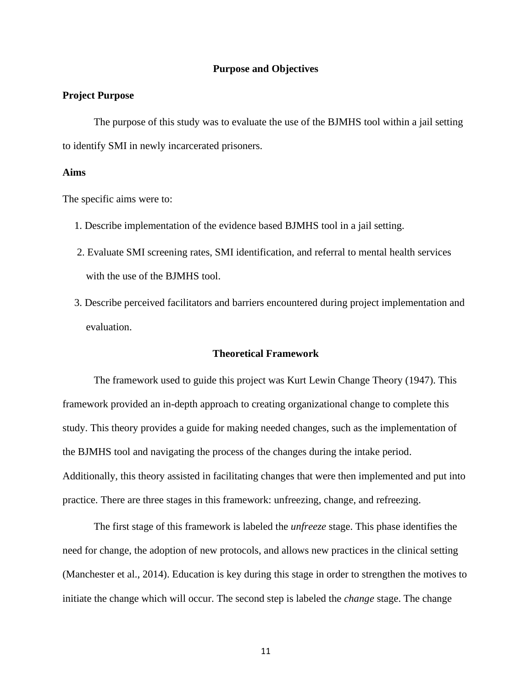#### **Purpose and Objectives**

## **Project Purpose**

The purpose of this study was to evaluate the use of the BJMHS tool within a jail setting to identify SMI in newly incarcerated prisoners.

### **Aims**

The specific aims were to:

- 1. Describe implementation of the evidence based BJMHS tool in a jail setting.
- 2. Evaluate SMI screening rates, SMI identification, and referral to mental health services with the use of the BJMHS tool.
- 3. Describe perceived facilitators and barriers encountered during project implementation and evaluation.

## **Theoretical Framework**

The framework used to guide this project was Kurt Lewin Change Theory (1947). This framework provided an in-depth approach to creating organizational change to complete this study. This theory provides a guide for making needed changes, such as the implementation of the BJMHS tool and navigating the process of the changes during the intake period. Additionally, this theory assisted in facilitating changes that were then implemented and put into practice. There are three stages in this framework: unfreezing, change, and refreezing.

The first stage of this framework is labeled the *unfreeze* stage. This phase identifies the need for change, the adoption of new protocols, and allows new practices in the clinical setting (Manchester et al., 2014). Education is key during this stage in order to strengthen the motives to initiate the change which will occur. The second step is labeled the *change* stage. The change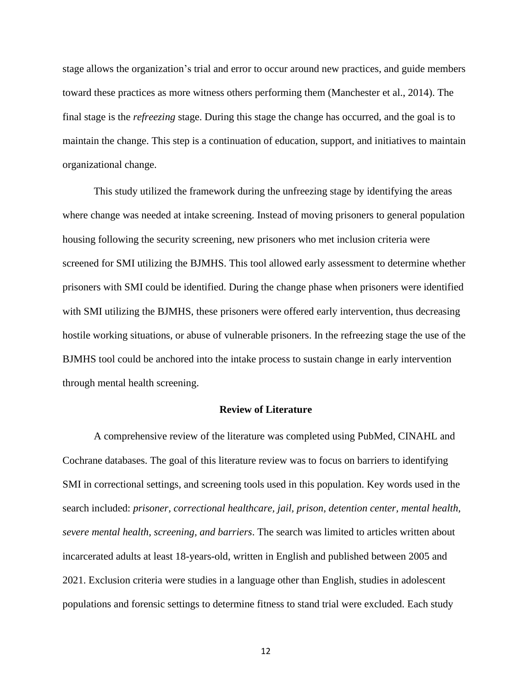stage allows the organization's trial and error to occur around new practices, and guide members toward these practices as more witness others performing them (Manchester et al., 2014). The final stage is the *refreezing* stage. During this stage the change has occurred, and the goal is to maintain the change. This step is a continuation of education, support, and initiatives to maintain organizational change.

This study utilized the framework during the unfreezing stage by identifying the areas where change was needed at intake screening. Instead of moving prisoners to general population housing following the security screening, new prisoners who met inclusion criteria were screened for SMI utilizing the BJMHS. This tool allowed early assessment to determine whether prisoners with SMI could be identified. During the change phase when prisoners were identified with SMI utilizing the BJMHS, these prisoners were offered early intervention, thus decreasing hostile working situations, or abuse of vulnerable prisoners. In the refreezing stage the use of the BJMHS tool could be anchored into the intake process to sustain change in early intervention through mental health screening.

#### **Review of Literature**

A comprehensive review of the literature was completed using PubMed, CINAHL and Cochrane databases. The goal of this literature review was to focus on barriers to identifying SMI in correctional settings, and screening tools used in this population. Key words used in the search included: *prisoner, correctional healthcare, jail, prison, detention center, mental health, severe mental health, screening, and barriers*. The search was limited to articles written about incarcerated adults at least 18-years-old, written in English and published between 2005 and 2021. Exclusion criteria were studies in a language other than English, studies in adolescent populations and forensic settings to determine fitness to stand trial were excluded. Each study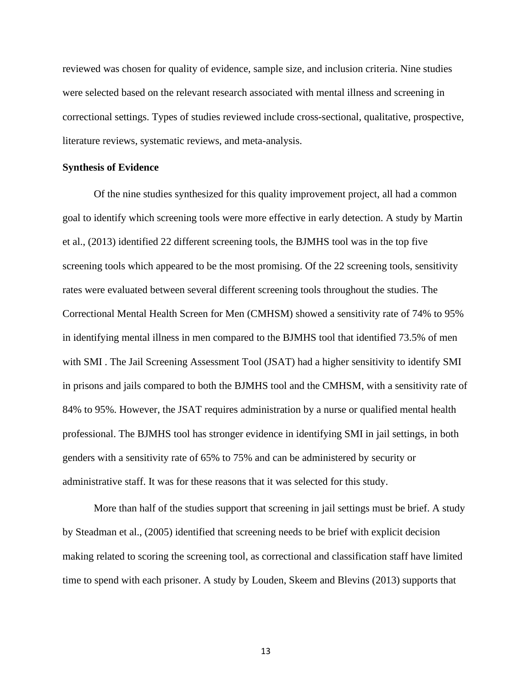reviewed was chosen for quality of evidence, sample size, and inclusion criteria. Nine studies were selected based on the relevant research associated with mental illness and screening in correctional settings. Types of studies reviewed include cross-sectional, qualitative, prospective, literature reviews, systematic reviews, and meta-analysis.

#### **Synthesis of Evidence**

Of the nine studies synthesized for this quality improvement project, all had a common goal to identify which screening tools were more effective in early detection. A study by Martin et al., (2013) identified 22 different screening tools, the BJMHS tool was in the top five screening tools which appeared to be the most promising. Of the 22 screening tools, sensitivity rates were evaluated between several different screening tools throughout the studies. The Correctional Mental Health Screen for Men (CMHSM) showed a sensitivity rate of 74% to 95% in identifying mental illness in men compared to the BJMHS tool that identified 73.5% of men with SMI . The Jail Screening Assessment Tool (JSAT) had a higher sensitivity to identify SMI in prisons and jails compared to both the BJMHS tool and the CMHSM, with a sensitivity rate of 84% to 95%. However, the JSAT requires administration by a nurse or qualified mental health professional. The BJMHS tool has stronger evidence in identifying SMI in jail settings, in both genders with a sensitivity rate of 65% to 75% and can be administered by security or administrative staff. It was for these reasons that it was selected for this study.

More than half of the studies support that screening in jail settings must be brief. A study by Steadman et al., (2005) identified that screening needs to be brief with explicit decision making related to scoring the screening tool, as correctional and classification staff have limited time to spend with each prisoner. A study by Louden, Skeem and Blevins (2013) supports that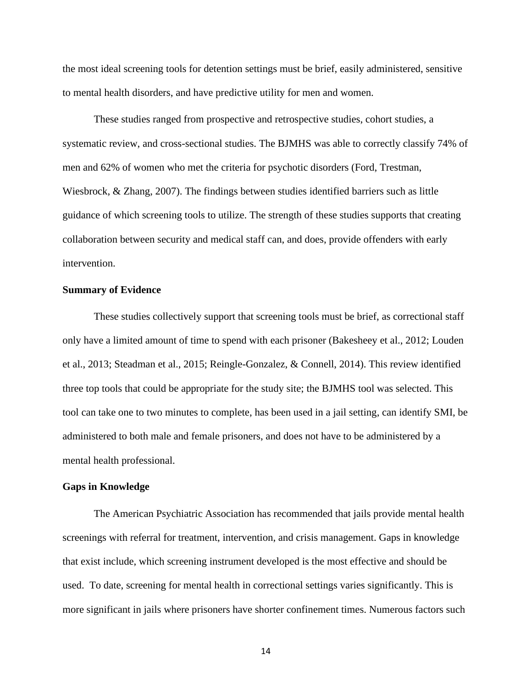the most ideal screening tools for detention settings must be brief, easily administered, sensitive to mental health disorders, and have predictive utility for men and women.

These studies ranged from prospective and retrospective studies, cohort studies, a systematic review, and cross-sectional studies. The BJMHS was able to correctly classify 74% of men and 62% of women who met the criteria for psychotic disorders (Ford, Trestman, Wiesbrock, & Zhang, 2007). The findings between studies identified barriers such as little guidance of which screening tools to utilize. The strength of these studies supports that creating collaboration between security and medical staff can, and does, provide offenders with early intervention.

#### **Summary of Evidence**

These studies collectively support that screening tools must be brief, as correctional staff only have a limited amount of time to spend with each prisoner (Bakesheey et al., 2012; Louden et al., 2013; Steadman et al., 2015; Reingle-Gonzalez, & Connell, 2014). This review identified three top tools that could be appropriate for the study site; the BJMHS tool was selected. This tool can take one to two minutes to complete, has been used in a jail setting, can identify SMI, be administered to both male and female prisoners, and does not have to be administered by a mental health professional.

## **Gaps in Knowledge**

The American Psychiatric Association has recommended that jails provide mental health screenings with referral for treatment, intervention, and crisis management. Gaps in knowledge that exist include, which screening instrument developed is the most effective and should be used. To date, screening for mental health in correctional settings varies significantly. This is more significant in jails where prisoners have shorter confinement times. Numerous factors such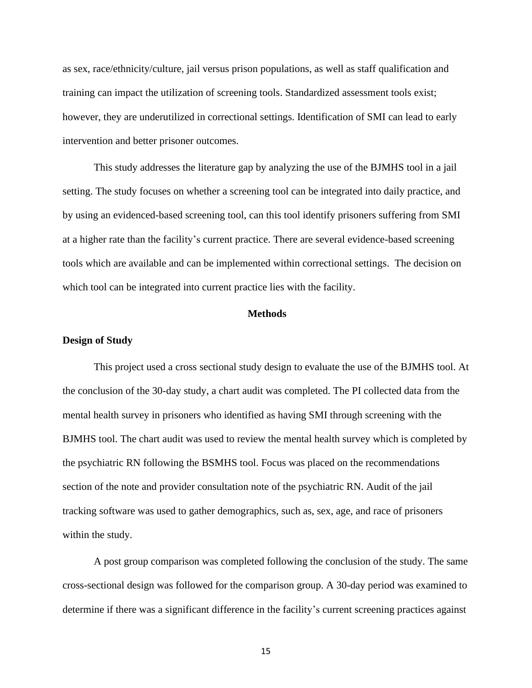as sex, race/ethnicity/culture, jail versus prison populations, as well as staff qualification and training can impact the utilization of screening tools. Standardized assessment tools exist; however, they are underutilized in correctional settings. Identification of SMI can lead to early intervention and better prisoner outcomes.

This study addresses the literature gap by analyzing the use of the BJMHS tool in a jail setting. The study focuses on whether a screening tool can be integrated into daily practice, and by using an evidenced-based screening tool, can this tool identify prisoners suffering from SMI at a higher rate than the facility's current practice. There are several evidence-based screening tools which are available and can be implemented within correctional settings. The decision on which tool can be integrated into current practice lies with the facility.

## **Methods**

#### **Design of Study**

This project used a cross sectional study design to evaluate the use of the BJMHS tool. At the conclusion of the 30-day study, a chart audit was completed. The PI collected data from the mental health survey in prisoners who identified as having SMI through screening with the BJMHS tool. The chart audit was used to review the mental health survey which is completed by the psychiatric RN following the BSMHS tool. Focus was placed on the recommendations section of the note and provider consultation note of the psychiatric RN. Audit of the jail tracking software was used to gather demographics, such as, sex, age, and race of prisoners within the study.

A post group comparison was completed following the conclusion of the study. The same cross-sectional design was followed for the comparison group. A 30-day period was examined to determine if there was a significant difference in the facility's current screening practices against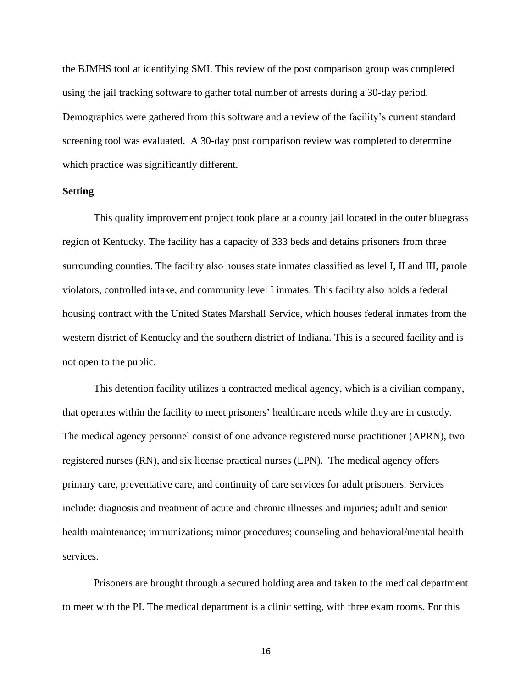the BJMHS tool at identifying SMI. This review of the post comparison group was completed using the jail tracking software to gather total number of arrests during a 30-day period. Demographics were gathered from this software and a review of the facility's current standard screening tool was evaluated. A 30-day post comparison review was completed to determine which practice was significantly different.

#### **Setting**

This quality improvement project took place at a county jail located in the outer bluegrass region of Kentucky. The facility has a capacity of 333 beds and detains prisoners from three surrounding counties. The facility also houses state inmates classified as level I, II and III, parole violators, controlled intake, and community level I inmates. This facility also holds a federal housing contract with the United States Marshall Service, which houses federal inmates from the western district of Kentucky and the southern district of Indiana. This is a secured facility and is not open to the public.

This detention facility utilizes a contracted medical agency, which is a civilian company, that operates within the facility to meet prisoners' healthcare needs while they are in custody. The medical agency personnel consist of one advance registered nurse practitioner (APRN), two registered nurses (RN), and six license practical nurses (LPN). The medical agency offers primary care, preventative care, and continuity of care services for adult prisoners. Services include: diagnosis and treatment of acute and chronic illnesses and injuries; adult and senior health maintenance; immunizations; minor procedures; counseling and behavioral/mental health services.

Prisoners are brought through a secured holding area and taken to the medical department to meet with the PI. The medical department is a clinic setting, with three exam rooms. For this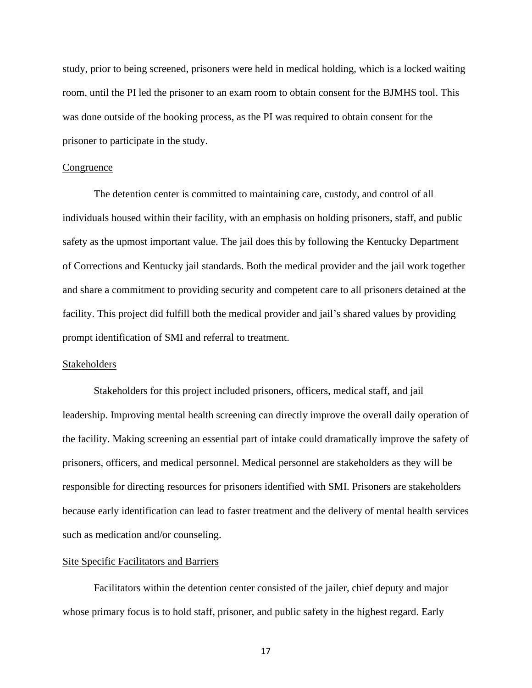study, prior to being screened, prisoners were held in medical holding, which is a locked waiting room, until the PI led the prisoner to an exam room to obtain consent for the BJMHS tool. This was done outside of the booking process, as the PI was required to obtain consent for the prisoner to participate in the study.

#### **Congruence**

The detention center is committed to maintaining care, custody, and control of all individuals housed within their facility, with an emphasis on holding prisoners, staff, and public safety as the upmost important value. The jail does this by following the Kentucky Department of Corrections and Kentucky jail standards. Both the medical provider and the jail work together and share a commitment to providing security and competent care to all prisoners detained at the facility. This project did fulfill both the medical provider and jail's shared values by providing prompt identification of SMI and referral to treatment.

#### **Stakeholders**

Stakeholders for this project included prisoners, officers, medical staff, and jail leadership. Improving mental health screening can directly improve the overall daily operation of the facility. Making screening an essential part of intake could dramatically improve the safety of prisoners, officers, and medical personnel. Medical personnel are stakeholders as they will be responsible for directing resources for prisoners identified with SMI. Prisoners are stakeholders because early identification can lead to faster treatment and the delivery of mental health services such as medication and/or counseling.

#### Site Specific Facilitators and Barriers

Facilitators within the detention center consisted of the jailer, chief deputy and major whose primary focus is to hold staff, prisoner, and public safety in the highest regard. Early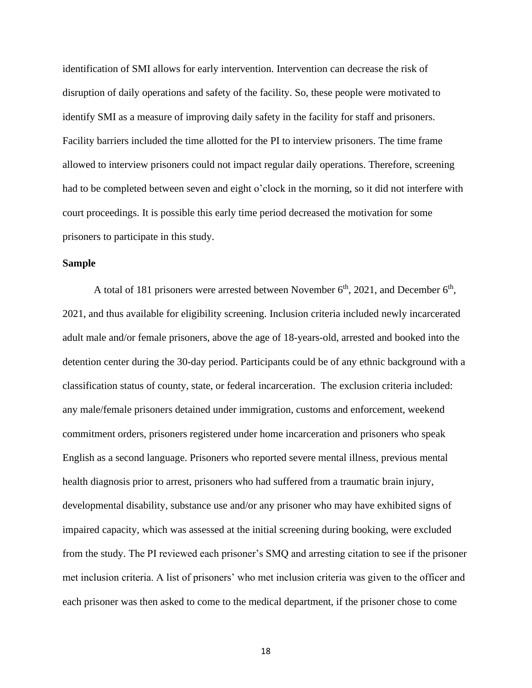identification of SMI allows for early intervention. Intervention can decrease the risk of disruption of daily operations and safety of the facility. So, these people were motivated to identify SMI as a measure of improving daily safety in the facility for staff and prisoners. Facility barriers included the time allotted for the PI to interview prisoners. The time frame allowed to interview prisoners could not impact regular daily operations. Therefore, screening had to be completed between seven and eight o'clock in the morning, so it did not interfere with court proceedings. It is possible this early time period decreased the motivation for some prisoners to participate in this study.

#### **Sample**

A total of 181 prisoners were arrested between November  $6<sup>th</sup>$ , 2021, and December  $6<sup>th</sup>$ , 2021, and thus available for eligibility screening. Inclusion criteria included newly incarcerated adult male and/or female prisoners, above the age of 18-years-old, arrested and booked into the detention center during the 30-day period. Participants could be of any ethnic background with a classification status of county, state, or federal incarceration. The exclusion criteria included: any male/female prisoners detained under immigration, customs and enforcement, weekend commitment orders, prisoners registered under home incarceration and prisoners who speak English as a second language. Prisoners who reported severe mental illness, previous mental health diagnosis prior to arrest, prisoners who had suffered from a traumatic brain injury, developmental disability, substance use and/or any prisoner who may have exhibited signs of impaired capacity, which was assessed at the initial screening during booking, were excluded from the study. The PI reviewed each prisoner's SMQ and arresting citation to see if the prisoner met inclusion criteria. A list of prisoners' who met inclusion criteria was given to the officer and each prisoner was then asked to come to the medical department, if the prisoner chose to come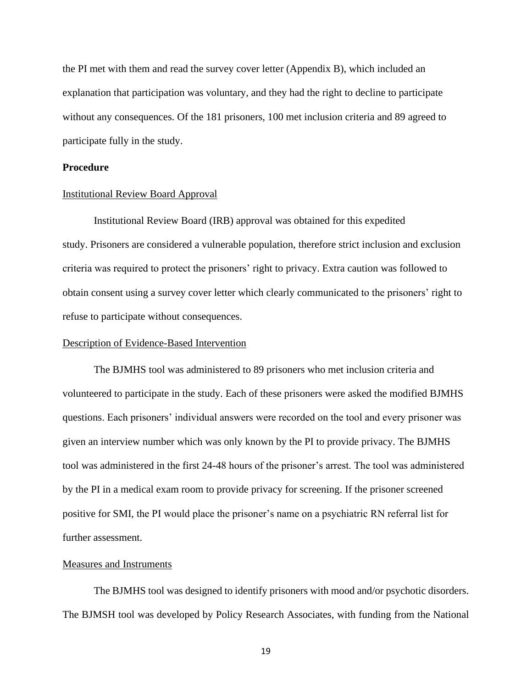the PI met with them and read the survey cover letter (Appendix B), which included an explanation that participation was voluntary, and they had the right to decline to participate without any consequences. Of the 181 prisoners, 100 met inclusion criteria and 89 agreed to participate fully in the study.

## **Procedure**

#### Institutional Review Board Approval

Institutional Review Board (IRB) approval was obtained for this expedited study. Prisoners are considered a vulnerable population, therefore strict inclusion and exclusion criteria was required to protect the prisoners' right to privacy. Extra caution was followed to obtain consent using a survey cover letter which clearly communicated to the prisoners' right to refuse to participate without consequences.

#### Description of Evidence-Based Intervention

The BJMHS tool was administered to 89 prisoners who met inclusion criteria and volunteered to participate in the study. Each of these prisoners were asked the modified BJMHS questions. Each prisoners' individual answers were recorded on the tool and every prisoner was given an interview number which was only known by the PI to provide privacy. The BJMHS tool was administered in the first 24-48 hours of the prisoner's arrest. The tool was administered by the PI in a medical exam room to provide privacy for screening. If the prisoner screened positive for SMI, the PI would place the prisoner's name on a psychiatric RN referral list for further assessment.

#### Measures and Instruments

The BJMHS tool was designed to identify prisoners with mood and/or psychotic disorders. The BJMSH tool was developed by Policy Research Associates, with funding from the National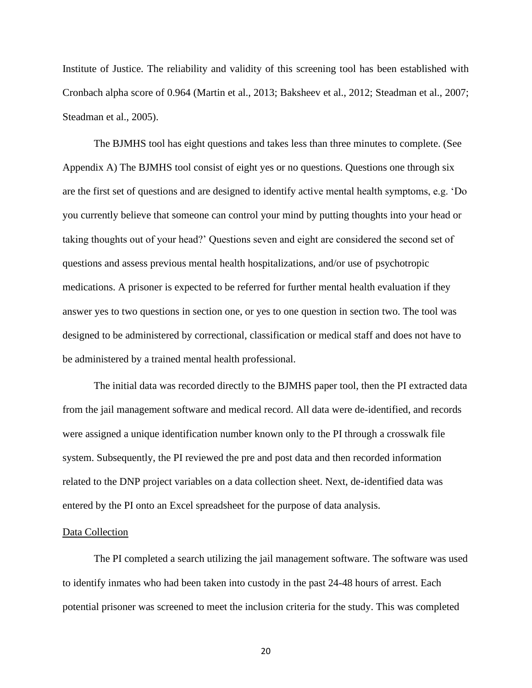Institute of Justice. The reliability and validity of this screening tool has been established with Cronbach alpha score of 0.964 (Martin et al., 2013; Baksheev et al., 2012; Steadman et al., 2007; Steadman et al., 2005).

The BJMHS tool has eight questions and takes less than three minutes to complete. (See Appendix A) The BJMHS tool consist of eight yes or no questions. Questions one through six are the first set of questions and are designed to identify active mental health symptoms, e.g. 'Do you currently believe that someone can control your mind by putting thoughts into your head or taking thoughts out of your head?' Questions seven and eight are considered the second set of questions and assess previous mental health hospitalizations, and/or use of psychotropic medications. A prisoner is expected to be referred for further mental health evaluation if they answer yes to two questions in section one, or yes to one question in section two. The tool was designed to be administered by correctional, classification or medical staff and does not have to be administered by a trained mental health professional.

The initial data was recorded directly to the BJMHS paper tool, then the PI extracted data from the jail management software and medical record. All data were de-identified, and records were assigned a unique identification number known only to the PI through a crosswalk file system. Subsequently, the PI reviewed the pre and post data and then recorded information related to the DNP project variables on a data collection sheet. Next, de-identified data was entered by the PI onto an Excel spreadsheet for the purpose of data analysis.

#### Data Collection

The PI completed a search utilizing the jail management software. The software was used to identify inmates who had been taken into custody in the past 24-48 hours of arrest. Each potential prisoner was screened to meet the inclusion criteria for the study. This was completed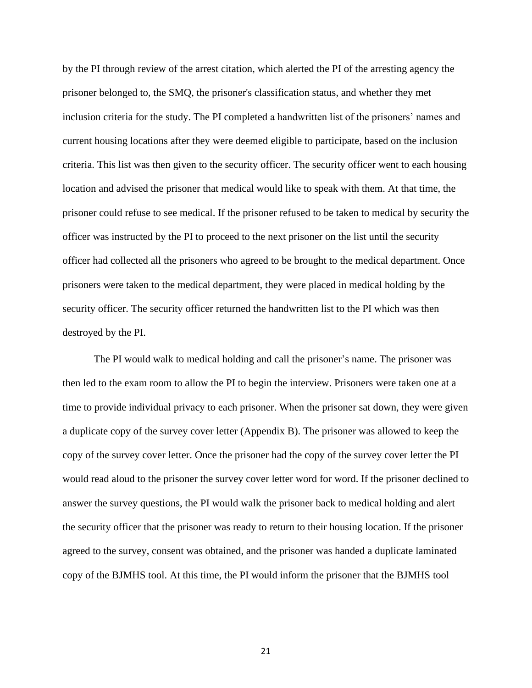by the PI through review of the arrest citation, which alerted the PI of the arresting agency the prisoner belonged to, the SMQ, the prisoner's classification status, and whether they met inclusion criteria for the study. The PI completed a handwritten list of the prisoners' names and current housing locations after they were deemed eligible to participate, based on the inclusion criteria. This list was then given to the security officer. The security officer went to each housing location and advised the prisoner that medical would like to speak with them. At that time, the prisoner could refuse to see medical. If the prisoner refused to be taken to medical by security the officer was instructed by the PI to proceed to the next prisoner on the list until the security officer had collected all the prisoners who agreed to be brought to the medical department. Once prisoners were taken to the medical department, they were placed in medical holding by the security officer. The security officer returned the handwritten list to the PI which was then destroyed by the PI.

The PI would walk to medical holding and call the prisoner's name. The prisoner was then led to the exam room to allow the PI to begin the interview. Prisoners were taken one at a time to provide individual privacy to each prisoner. When the prisoner sat down, they were given a duplicate copy of the survey cover letter (Appendix B). The prisoner was allowed to keep the copy of the survey cover letter. Once the prisoner had the copy of the survey cover letter the PI would read aloud to the prisoner the survey cover letter word for word. If the prisoner declined to answer the survey questions, the PI would walk the prisoner back to medical holding and alert the security officer that the prisoner was ready to return to their housing location. If the prisoner agreed to the survey, consent was obtained, and the prisoner was handed a duplicate laminated copy of the BJMHS tool. At this time, the PI would inform the prisoner that the BJMHS tool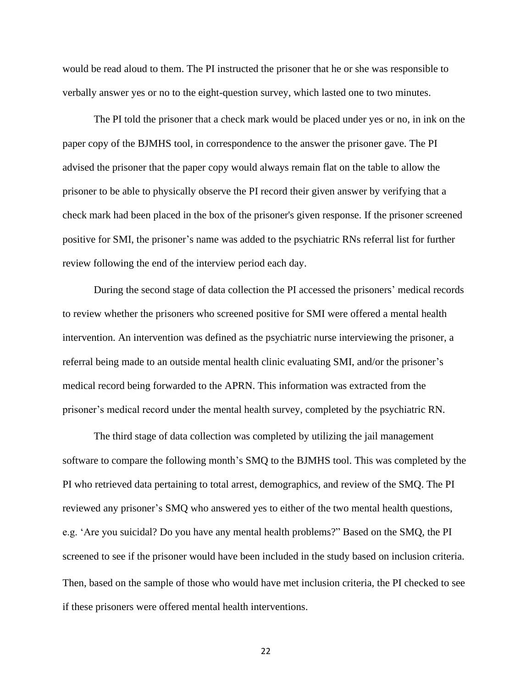would be read aloud to them. The PI instructed the prisoner that he or she was responsible to verbally answer yes or no to the eight-question survey, which lasted one to two minutes.

The PI told the prisoner that a check mark would be placed under yes or no, in ink on the paper copy of the BJMHS tool, in correspondence to the answer the prisoner gave. The PI advised the prisoner that the paper copy would always remain flat on the table to allow the prisoner to be able to physically observe the PI record their given answer by verifying that a check mark had been placed in the box of the prisoner's given response. If the prisoner screened positive for SMI, the prisoner's name was added to the psychiatric RNs referral list for further review following the end of the interview period each day.

During the second stage of data collection the PI accessed the prisoners' medical records to review whether the prisoners who screened positive for SMI were offered a mental health intervention. An intervention was defined as the psychiatric nurse interviewing the prisoner, a referral being made to an outside mental health clinic evaluating SMI, and/or the prisoner's medical record being forwarded to the APRN. This information was extracted from the prisoner's medical record under the mental health survey, completed by the psychiatric RN.

The third stage of data collection was completed by utilizing the jail management software to compare the following month's SMQ to the BJMHS tool. This was completed by the PI who retrieved data pertaining to total arrest, demographics, and review of the SMQ. The PI reviewed any prisoner's SMQ who answered yes to either of the two mental health questions, e.g. 'Are you suicidal? Do you have any mental health problems?" Based on the SMQ, the PI screened to see if the prisoner would have been included in the study based on inclusion criteria. Then, based on the sample of those who would have met inclusion criteria, the PI checked to see if these prisoners were offered mental health interventions.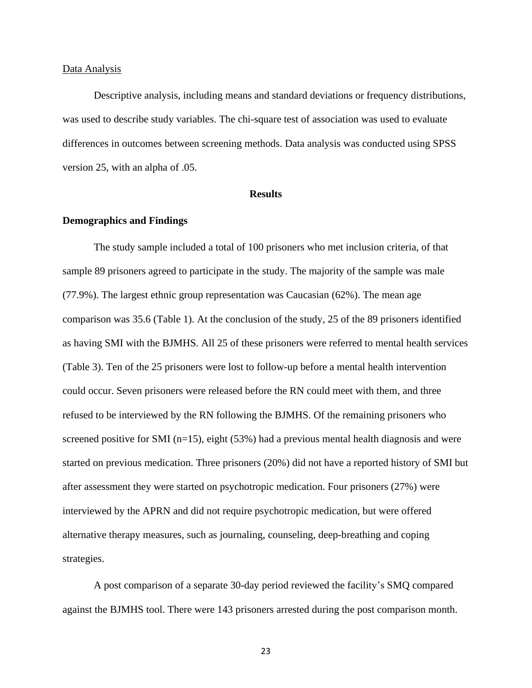#### Data Analysis

Descriptive analysis, including means and standard deviations or frequency distributions, was used to describe study variables. The chi-square test of association was used to evaluate differences in outcomes between screening methods. Data analysis was conducted using SPSS version 25, with an alpha of .05.

#### **Results**

#### **Demographics and Findings**

The study sample included a total of 100 prisoners who met inclusion criteria, of that sample 89 prisoners agreed to participate in the study. The majority of the sample was male (77.9%). The largest ethnic group representation was Caucasian (62%). The mean age comparison was 35.6 (Table 1). At the conclusion of the study, 25 of the 89 prisoners identified as having SMI with the BJMHS. All 25 of these prisoners were referred to mental health services (Table 3). Ten of the 25 prisoners were lost to follow-up before a mental health intervention could occur. Seven prisoners were released before the RN could meet with them, and three refused to be interviewed by the RN following the BJMHS. Of the remaining prisoners who screened positive for SMI (n=15), eight (53%) had a previous mental health diagnosis and were started on previous medication. Three prisoners (20%) did not have a reported history of SMI but after assessment they were started on psychotropic medication. Four prisoners (27%) were interviewed by the APRN and did not require psychotropic medication, but were offered alternative therapy measures, such as journaling, counseling, deep-breathing and coping strategies.

A post comparison of a separate 30-day period reviewed the facility's SMQ compared against the BJMHS tool. There were 143 prisoners arrested during the post comparison month.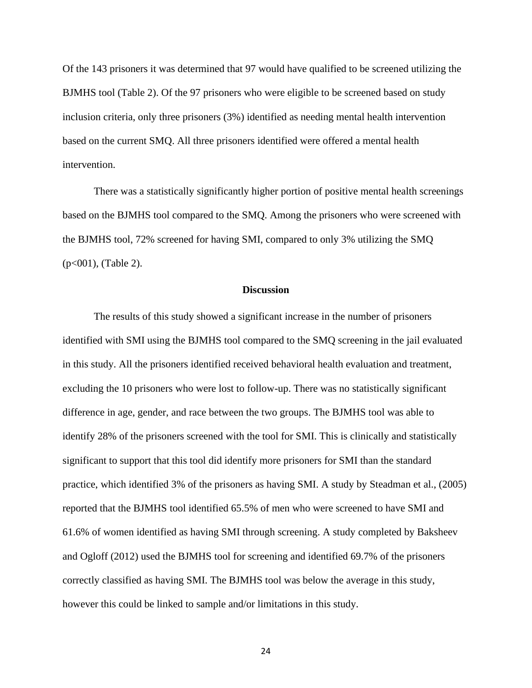Of the 143 prisoners it was determined that 97 would have qualified to be screened utilizing the BJMHS tool (Table 2). Of the 97 prisoners who were eligible to be screened based on study inclusion criteria, only three prisoners (3%) identified as needing mental health intervention based on the current SMQ. All three prisoners identified were offered a mental health intervention.

There was a statistically significantly higher portion of positive mental health screenings based on the BJMHS tool compared to the SMQ. Among the prisoners who were screened with the BJMHS tool, 72% screened for having SMI, compared to only 3% utilizing the SMQ  $(p<001)$ , (Table 2).

#### **Discussion**

The results of this study showed a significant increase in the number of prisoners identified with SMI using the BJMHS tool compared to the SMQ screening in the jail evaluated in this study. All the prisoners identified received behavioral health evaluation and treatment, excluding the 10 prisoners who were lost to follow-up. There was no statistically significant difference in age, gender, and race between the two groups. The BJMHS tool was able to identify 28% of the prisoners screened with the tool for SMI. This is clinically and statistically significant to support that this tool did identify more prisoners for SMI than the standard practice, which identified 3% of the prisoners as having SMI. A study by Steadman et al., (2005) reported that the BJMHS tool identified 65.5% of men who were screened to have SMI and 61.6% of women identified as having SMI through screening. A study completed by Baksheev and Ogloff (2012) used the BJMHS tool for screening and identified 69.7% of the prisoners correctly classified as having SMI. The BJMHS tool was below the average in this study, however this could be linked to sample and/or limitations in this study.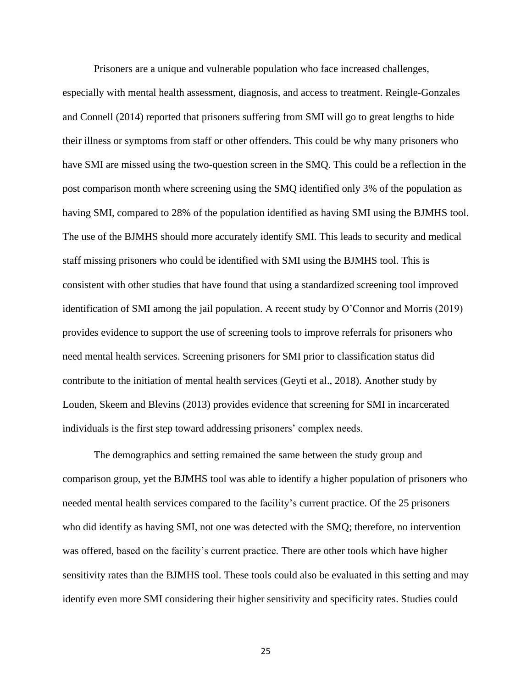Prisoners are a unique and vulnerable population who face increased challenges, especially with mental health assessment, diagnosis, and access to treatment. Reingle-Gonzales and Connell (2014) reported that prisoners suffering from SMI will go to great lengths to hide their illness or symptoms from staff or other offenders. This could be why many prisoners who have SMI are missed using the two-question screen in the SMQ. This could be a reflection in the post comparison month where screening using the SMQ identified only 3% of the population as having SMI, compared to 28% of the population identified as having SMI using the BJMHS tool. The use of the BJMHS should more accurately identify SMI. This leads to security and medical staff missing prisoners who could be identified with SMI using the BJMHS tool. This is consistent with other studies that have found that using a standardized screening tool improved identification of SMI among the jail population. A recent study by O'Connor and Morris (2019) provides evidence to support the use of screening tools to improve referrals for prisoners who need mental health services. Screening prisoners for SMI prior to classification status did contribute to the initiation of mental health services (Geyti et al., 2018). Another study by Louden, Skeem and Blevins (2013) provides evidence that screening for SMI in incarcerated individuals is the first step toward addressing prisoners' complex needs.

The demographics and setting remained the same between the study group and comparison group, yet the BJMHS tool was able to identify a higher population of prisoners who needed mental health services compared to the facility's current practice. Of the 25 prisoners who did identify as having SMI, not one was detected with the SMQ; therefore, no intervention was offered, based on the facility's current practice. There are other tools which have higher sensitivity rates than the BJMHS tool. These tools could also be evaluated in this setting and may identify even more SMI considering their higher sensitivity and specificity rates. Studies could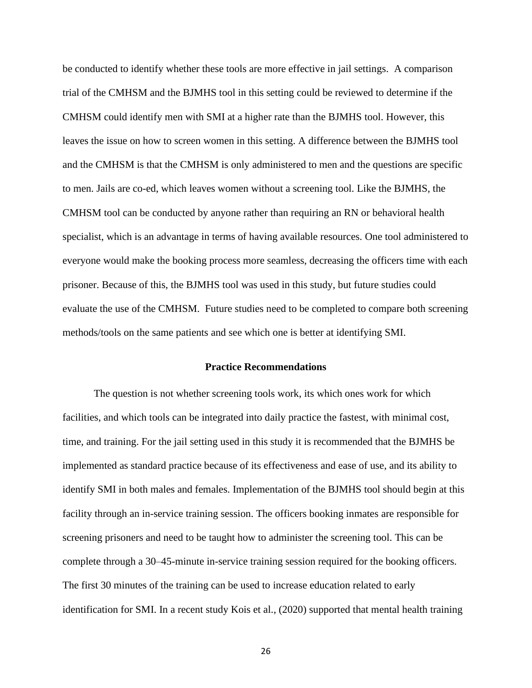be conducted to identify whether these tools are more effective in jail settings. A comparison trial of the CMHSM and the BJMHS tool in this setting could be reviewed to determine if the CMHSM could identify men with SMI at a higher rate than the BJMHS tool. However, this leaves the issue on how to screen women in this setting. A difference between the BJMHS tool and the CMHSM is that the CMHSM is only administered to men and the questions are specific to men. Jails are co-ed, which leaves women without a screening tool. Like the BJMHS, the CMHSM tool can be conducted by anyone rather than requiring an RN or behavioral health specialist, which is an advantage in terms of having available resources. One tool administered to everyone would make the booking process more seamless, decreasing the officers time with each prisoner. Because of this, the BJMHS tool was used in this study, but future studies could evaluate the use of the CMHSM. Future studies need to be completed to compare both screening methods/tools on the same patients and see which one is better at identifying SMI.

#### **Practice Recommendations**

The question is not whether screening tools work, its which ones work for which facilities, and which tools can be integrated into daily practice the fastest, with minimal cost, time, and training. For the jail setting used in this study it is recommended that the BJMHS be implemented as standard practice because of its effectiveness and ease of use, and its ability to identify SMI in both males and females. Implementation of the BJMHS tool should begin at this facility through an in-service training session. The officers booking inmates are responsible for screening prisoners and need to be taught how to administer the screening tool. This can be complete through a 30–45-minute in-service training session required for the booking officers. The first 30 minutes of the training can be used to increase education related to early identification for SMI. In a recent study Kois et al., (2020) supported that mental health training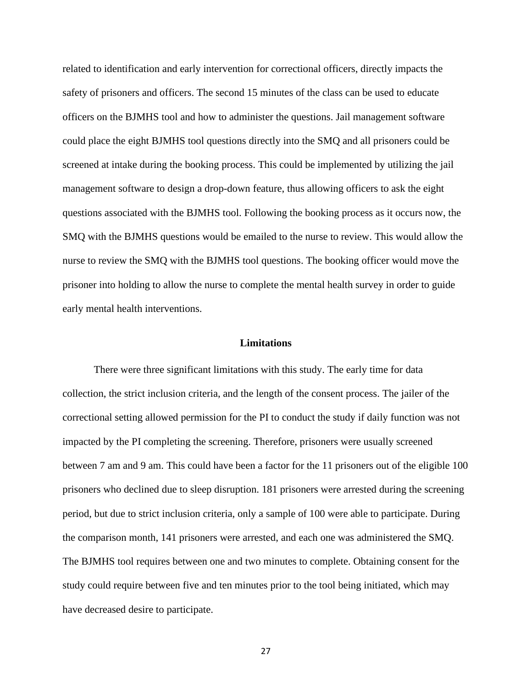related to identification and early intervention for correctional officers, directly impacts the safety of prisoners and officers. The second 15 minutes of the class can be used to educate officers on the BJMHS tool and how to administer the questions. Jail management software could place the eight BJMHS tool questions directly into the SMQ and all prisoners could be screened at intake during the booking process. This could be implemented by utilizing the jail management software to design a drop-down feature, thus allowing officers to ask the eight questions associated with the BJMHS tool. Following the booking process as it occurs now, the SMQ with the BJMHS questions would be emailed to the nurse to review. This would allow the nurse to review the SMQ with the BJMHS tool questions. The booking officer would move the prisoner into holding to allow the nurse to complete the mental health survey in order to guide early mental health interventions.

#### **Limitations**

There were three significant limitations with this study. The early time for data collection, the strict inclusion criteria, and the length of the consent process. The jailer of the correctional setting allowed permission for the PI to conduct the study if daily function was not impacted by the PI completing the screening. Therefore, prisoners were usually screened between 7 am and 9 am. This could have been a factor for the 11 prisoners out of the eligible 100 prisoners who declined due to sleep disruption. 181 prisoners were arrested during the screening period, but due to strict inclusion criteria, only a sample of 100 were able to participate. During the comparison month, 141 prisoners were arrested, and each one was administered the SMQ. The BJMHS tool requires between one and two minutes to complete. Obtaining consent for the study could require between five and ten minutes prior to the tool being initiated, which may have decreased desire to participate.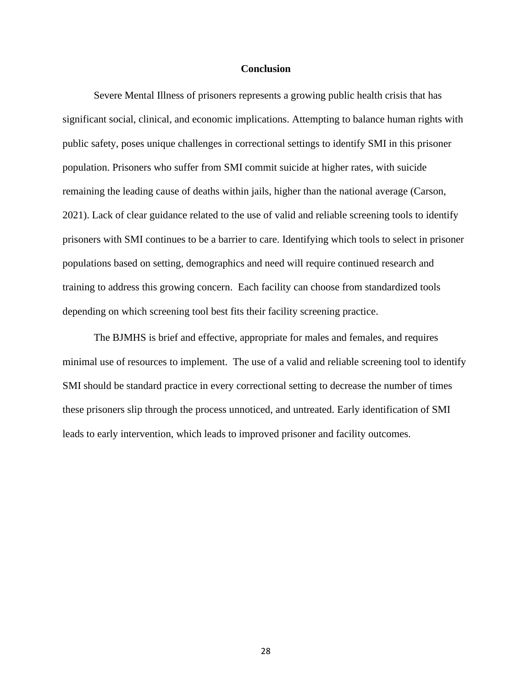#### **Conclusion**

Severe Mental Illness of prisoners represents a growing public health crisis that has significant social, clinical, and economic implications. Attempting to balance human rights with public safety, poses unique challenges in correctional settings to identify SMI in this prisoner population. Prisoners who suffer from SMI commit suicide at higher rates, with suicide remaining the leading cause of deaths within jails, higher than the national average (Carson, 2021). Lack of clear guidance related to the use of valid and reliable screening tools to identify prisoners with SMI continues to be a barrier to care. Identifying which tools to select in prisoner populations based on setting, demographics and need will require continued research and training to address this growing concern. Each facility can choose from standardized tools depending on which screening tool best fits their facility screening practice.

The BJMHS is brief and effective, appropriate for males and females, and requires minimal use of resources to implement. The use of a valid and reliable screening tool to identify SMI should be standard practice in every correctional setting to decrease the number of times these prisoners slip through the process unnoticed, and untreated. Early identification of SMI leads to early intervention, which leads to improved prisoner and facility outcomes.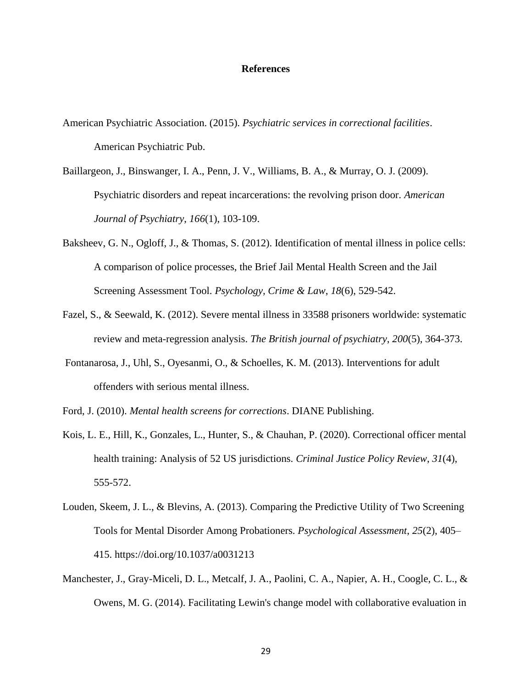#### **References**

- American Psychiatric Association. (2015). *Psychiatric services in correctional facilities*. American Psychiatric Pub.
- Baillargeon, J., Binswanger, I. A., Penn, J. V., Williams, B. A., & Murray, O. J. (2009). Psychiatric disorders and repeat incarcerations: the revolving prison door. *American Journal of Psychiatry*, *166*(1), 103-109.
- Baksheev, G. N., Ogloff, J., & Thomas, S. (2012). Identification of mental illness in police cells: A comparison of police processes, the Brief Jail Mental Health Screen and the Jail Screening Assessment Tool. *Psychology, Crime & Law*, *18*(6), 529-542.
- Fazel, S., & Seewald, K. (2012). Severe mental illness in 33588 prisoners worldwide: systematic review and meta-regression analysis. *The British journal of psychiatry*, *200*(5), 364-373.
- Fontanarosa, J., Uhl, S., Oyesanmi, O., & Schoelles, K. M. (2013). Interventions for adult offenders with serious mental illness.
- Ford, J. (2010). *Mental health screens for corrections*. DIANE Publishing.
- Kois, L. E., Hill, K., Gonzales, L., Hunter, S., & Chauhan, P. (2020). Correctional officer mental health training: Analysis of 52 US jurisdictions. *Criminal Justice Policy Review*, *31*(4), 555-572.
- Louden, Skeem, J. L., & Blevins, A. (2013). Comparing the Predictive Utility of Two Screening Tools for Mental Disorder Among Probationers. *Psychological Assessment*, *25*(2), 405– 415. https://doi.org/10.1037/a0031213
- Manchester, J., Gray-Miceli, D. L., Metcalf, J. A., Paolini, C. A., Napier, A. H., Coogle, C. L., & Owens, M. G. (2014). Facilitating Lewin's change model with collaborative evaluation in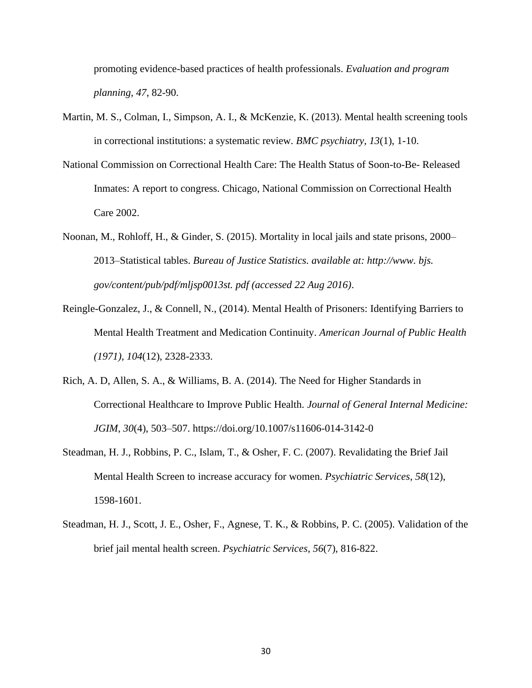promoting evidence-based practices of health professionals. *Evaluation and program planning*, *47*, 82-90.

- Martin, M. S., Colman, I., Simpson, A. I., & McKenzie, K. (2013). Mental health screening tools in correctional institutions: a systematic review. *BMC psychiatry*, *13*(1), 1-10.
- National Commission on Correctional Health Care: The Health Status of Soon-to-Be- Released Inmates: A report to congress. Chicago, National Commission on Correctional Health Care 2002.
- Noonan, M., Rohloff, H., & Ginder, S. (2015). Mortality in local jails and state prisons, 2000– 2013–Statistical tables. *Bureau of Justice Statistics. available at: http://www. bjs. gov/content/pub/pdf/mljsp0013st. pdf (accessed 22 Aug 2016)*.
- Reingle-Gonzalez, J., & Connell, N., (2014). Mental Health of Prisoners: Identifying Barriers to Mental Health Treatment and Medication Continuity. *American Journal of Public Health (1971), 104*(12), 2328-2333.
- Rich, A. D, Allen, S. A., & Williams, B. A. (2014). The Need for Higher Standards in Correctional Healthcare to Improve Public Health. *Journal of General Internal Medicine: JGIM*, *30*(4), 503–507. https://doi.org/10.1007/s11606-014-3142-0
- Steadman, H. J., Robbins, P. C., Islam, T., & Osher, F. C. (2007). Revalidating the Brief Jail Mental Health Screen to increase accuracy for women. *Psychiatric Services*, *58*(12), 1598-1601.
- Steadman, H. J., Scott, J. E., Osher, F., Agnese, T. K., & Robbins, P. C. (2005). Validation of the brief jail mental health screen. *Psychiatric Services*, *56*(7), 816-822.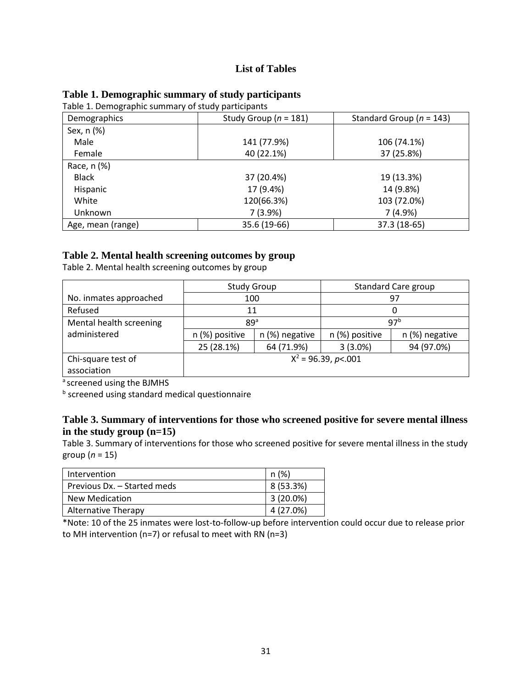## **List of Tables**

| Fable 1. Demographic summary of study participants |                           |                              |
|----------------------------------------------------|---------------------------|------------------------------|
| Demographics                                       | Study Group ( $n = 181$ ) | Standard Group ( $n = 143$ ) |
| Sex, n (%)                                         |                           |                              |
| Male                                               | 141 (77.9%)               | 106 (74.1%)                  |
| Female                                             | 40 (22.1%)                | 37 (25.8%)                   |
| Race, n (%)                                        |                           |                              |
| <b>Black</b>                                       | 37 (20.4%)                | 19 (13.3%)                   |
| Hispanic                                           | 17 (9.4%)                 | 14 (9.8%)                    |
| White                                              | 120(66.3%)                | 103 (72.0%)                  |
| Unknown                                            | 7(3.9%)                   | 7(4.9%)                      |
| Age, mean (range)                                  | 35.6 (19-66)              | 37.3 (18-65)                 |

## **Table 1. Demographic summary of study participants**

 $T$ able 1. Demographic summary of study participants

## **Table 2. Mental health screening outcomes by group**

Table 2. Mental health screening outcomes by group

|                         | <b>Study Group</b>    |                | <b>Standard Care group</b> |                |
|-------------------------|-----------------------|----------------|----------------------------|----------------|
| No. inmates approached  | 100                   |                | 97                         |                |
| Refused                 | 11                    |                |                            |                |
| Mental health screening | 89 <sup>a</sup>       |                | 97 <sup>b</sup>            |                |
| administered            | n (%) positive        | n (%) negative | n (%) positive             | n (%) negative |
|                         | 25 (28.1%)            | 64 (71.9%)     | $3(3.0\%)$                 | 94 (97.0%)     |
| Chi-square test of      | $X^2$ = 96.39, p<.001 |                |                            |                |
| association             |                       |                |                            |                |

ascreened using the BJMHS

**b** screened using standard medical questionnaire

## **Table 3. Summary of interventions for those who screened positive for severe mental illness in the study group (n=15)**

Table 3. Summary of interventions for those who screened positive for severe mental illness in the study group (*n* = 15)

| Intervention                | n(%)        |
|-----------------------------|-------------|
| Previous Dx. - Started meds | 8 (53.3%)   |
| New Medication              | $3(20.0\%)$ |
| Alternative Therapy         | 4 (27.0%)   |

\*Note: 10 of the 25 inmates were lost-to-follow-up before intervention could occur due to release prior to MH intervention (n=7) or refusal to meet with RN (n=3)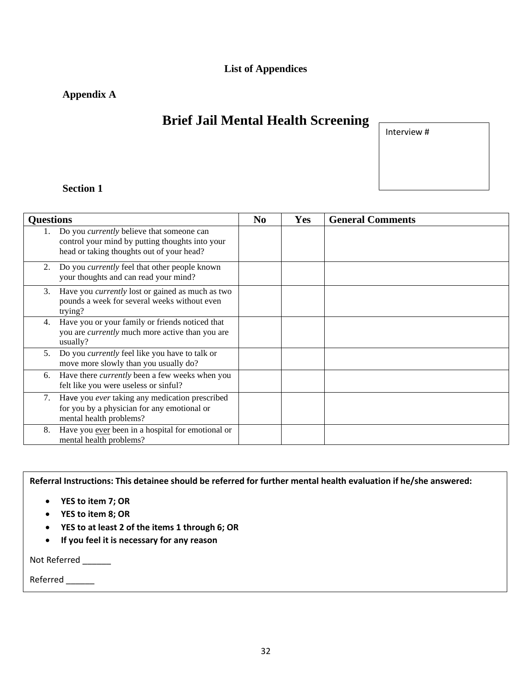## **List of Appendices**

## **Appendix A**

# **Brief Jail Mental Health Screening**

Interview #

## **Section 1**

| <b>Questions</b> |                                                                                                                                                  | N <sub>0</sub> | <b>Yes</b> | <b>General Comments</b> |
|------------------|--------------------------------------------------------------------------------------------------------------------------------------------------|----------------|------------|-------------------------|
|                  | Do you <i>currently</i> believe that someone can<br>control your mind by putting thoughts into your<br>head or taking thoughts out of your head? |                |            |                         |
| 2.               | Do you <i>currently</i> feel that other people known<br>your thoughts and can read your mind?                                                    |                |            |                         |
| 3.               | Have you <i>currently</i> lost or gained as much as two<br>pounds a week for several weeks without even<br>trying?                               |                |            |                         |
| 4.               | Have you or your family or friends noticed that<br>you are <i>currently</i> much more active than you are<br>usually?                            |                |            |                         |
| 5.               | Do you <i>currently</i> feel like you have to talk or<br>move more slowly than you usually do?                                                   |                |            |                         |
| 6.               | Have there <i>currently</i> been a few weeks when you<br>felt like you were useless or sinful?                                                   |                |            |                         |
| 7.               | Have you ever taking any medication prescribed<br>for you by a physician for any emotional or<br>mental health problems?                         |                |            |                         |
| 8.               | Have you ever been in a hospital for emotional or<br>mental health problems?                                                                     |                |            |                         |

**Referral Instructions: This detainee should be referred for further mental health evaluation if he/she answered:**

- **YES to item 7; OR**
- **YES to item 8; OR**
- **YES to at least 2 of the items 1 through 6; OR**
- **If you feel it is necessary for any reason**

Not Referred \_\_\_\_\_\_

Referred \_\_\_\_\_\_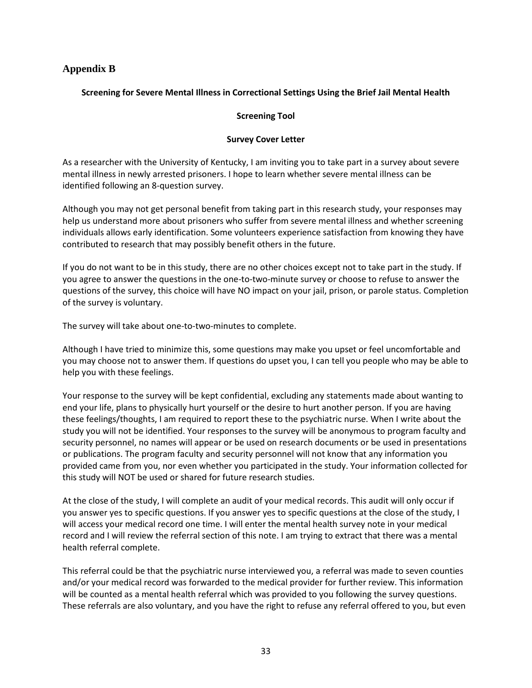## **Appendix B**

## **Screening for Severe Mental Illness in Correctional Settings Using the Brief Jail Mental Health**

#### **Screening Tool**

#### **Survey Cover Letter**

As a researcher with the University of Kentucky, I am inviting you to take part in a survey about severe mental illness in newly arrested prisoners. I hope to learn whether severe mental illness can be identified following an 8-question survey.

Although you may not get personal benefit from taking part in this research study, your responses may help us understand more about prisoners who suffer from severe mental illness and whether screening individuals allows early identification. Some volunteers experience satisfaction from knowing they have contributed to research that may possibly benefit others in the future.

If you do not want to be in this study, there are no other choices except not to take part in the study. If you agree to answer the questions in the one-to-two-minute survey or choose to refuse to answer the questions of the survey, this choice will have NO impact on your jail, prison, or parole status. Completion of the survey is voluntary.

The survey will take about one-to-two-minutes to complete.

Although I have tried to minimize this, some questions may make you upset or feel uncomfortable and you may choose not to answer them. If questions do upset you, I can tell you people who may be able to help you with these feelings.

Your response to the survey will be kept confidential, excluding any statements made about wanting to end your life, plans to physically hurt yourself or the desire to hurt another person. If you are having these feelings/thoughts, I am required to report these to the psychiatric nurse. When I write about the study you will not be identified. Your responses to the survey will be anonymous to program faculty and security personnel, no names will appear or be used on research documents or be used in presentations or publications. The program faculty and security personnel will not know that any information you provided came from you, nor even whether you participated in the study. Your information collected for this study will NOT be used or shared for future research studies.

At the close of the study, I will complete an audit of your medical records. This audit will only occur if you answer yes to specific questions. If you answer yes to specific questions at the close of the study, I will access your medical record one time. I will enter the mental health survey note in your medical record and I will review the referral section of this note. I am trying to extract that there was a mental health referral complete.

This referral could be that the psychiatric nurse interviewed you, a referral was made to seven counties and/or your medical record was forwarded to the medical provider for further review. This information will be counted as a mental health referral which was provided to you following the survey questions. These referrals are also voluntary, and you have the right to refuse any referral offered to you, but even